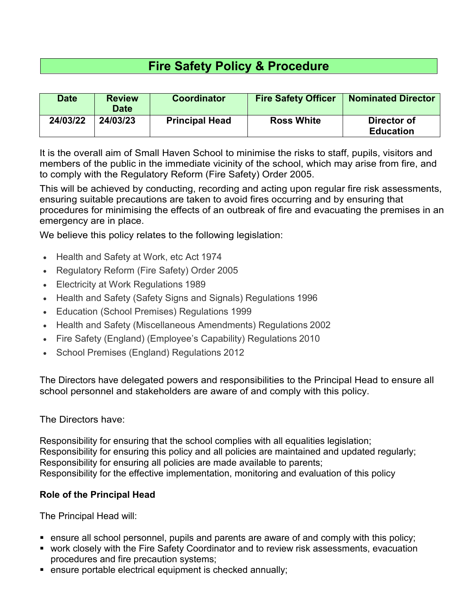# **Fire Safety Policy & Procedure**

| <b>Date</b> | <b>Review</b><br><b>Date</b> | <b>Coordinator</b>    | <b>Fire Safety Officer</b> | <b>Nominated Director</b>       |
|-------------|------------------------------|-----------------------|----------------------------|---------------------------------|
| 24/03/22    | 24/03/23                     | <b>Principal Head</b> | <b>Ross White</b>          | Director of<br><b>Education</b> |

It is the overall aim of Small Haven School to minimise the risks to staff, pupils, visitors and members of the public in the immediate vicinity of the school, which may arise from fire, and to comply with the Regulatory Reform (Fire Safety) Order 2005.

This will be achieved by conducting, recording and acting upon regular fire risk assessments, ensuring suitable precautions are taken to avoid fires occurring and by ensuring that procedures for minimising the effects of an outbreak of fire and evacuating the premises in an emergency are in place.

We believe this policy relates to the following legislation:

- Health and Safety at Work, etc Act 1974
- Regulatory Reform (Fire Safety) Order 2005
- Electricity at Work Regulations 1989
- Health and Safety (Safety Signs and Signals) Regulations 1996
- Education (School Premises) Regulations 1999
- Health and Safety (Miscellaneous Amendments) Regulations 2002
- Fire Safety (England) (Employee's Capability) Regulations 2010
- School Premises (England) Regulations 2012

The Directors have delegated powers and responsibilities to the Principal Head to ensure all school personnel and stakeholders are aware of and comply with this policy.

#### The Directors have:

Responsibility for ensuring that the school complies with all equalities legislation; Responsibility for ensuring this policy and all policies are maintained and updated regularly; Responsibility for ensuring all policies are made available to parents; Responsibility for the effective implementation, monitoring and evaluation of this policy

### **Role of the Principal Head**

The Principal Head will:

- ensure all school personnel, pupils and parents are aware of and comply with this policy;
- work closely with the Fire Safety Coordinator and to review risk assessments, evacuation procedures and fire precaution systems;
- ensure portable electrical equipment is checked annually;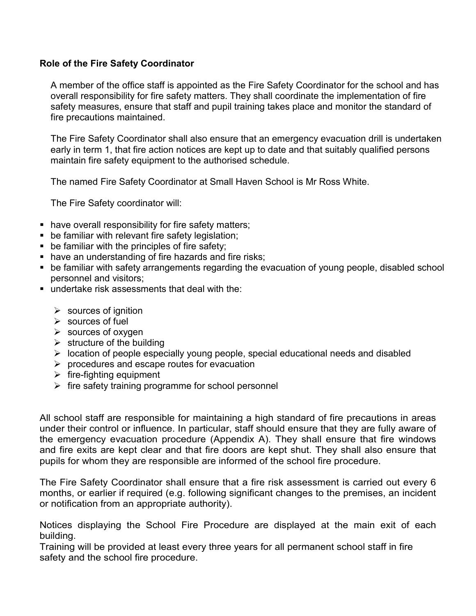#### **Role of the Fire Safety Coordinator**

A member of the office staff is appointed as the Fire Safety Coordinator for the school and has overall responsibility for fire safety matters. They shall coordinate the implementation of fire safety measures, ensure that staff and pupil training takes place and monitor the standard of fire precautions maintained.

The Fire Safety Coordinator shall also ensure that an emergency evacuation drill is undertaken early in term 1, that fire action notices are kept up to date and that suitably qualified persons maintain fire safety equipment to the authorised schedule.

The named Fire Safety Coordinator at Small Haven School is Mr Ross White.

The Fire Safety coordinator will:

- have overall responsibility for fire safety matters;
- **be familiar with relevant fire safety legislation;**
- **•** be familiar with the principles of fire safety;
- **have an understanding of fire hazards and fire risks;**
- be familiar with safety arrangements regarding the evacuation of young people, disabled school personnel and visitors;
- undertake risk assessments that deal with the:
	- $\triangleright$  sources of ignition
	- $\triangleright$  sources of fuel
	- $\triangleright$  sources of oxygen
	- $\triangleright$  structure of the building
	- $\triangleright$  location of people especially young people, special educational needs and disabled
	- $\triangleright$  procedures and escape routes for evacuation
	- $\triangleright$  fire-fighting equipment
	- $\triangleright$  fire safety training programme for school personnel

All school staff are responsible for maintaining a high standard of fire precautions in areas under their control or influence. In particular, staff should ensure that they are fully aware of the emergency evacuation procedure (Appendix A). They shall ensure that fire windows and fire exits are kept clear and that fire doors are kept shut. They shall also ensure that pupils for whom they are responsible are informed of the school fire procedure.

The Fire Safety Coordinator shall ensure that a fire risk assessment is carried out every 6 months, or earlier if required (e.g. following significant changes to the premises, an incident or notification from an appropriate authority).

Notices displaying the School Fire Procedure are displayed at the main exit of each building.

Training will be provided at least every three years for all permanent school staff in fire safety and the school fire procedure.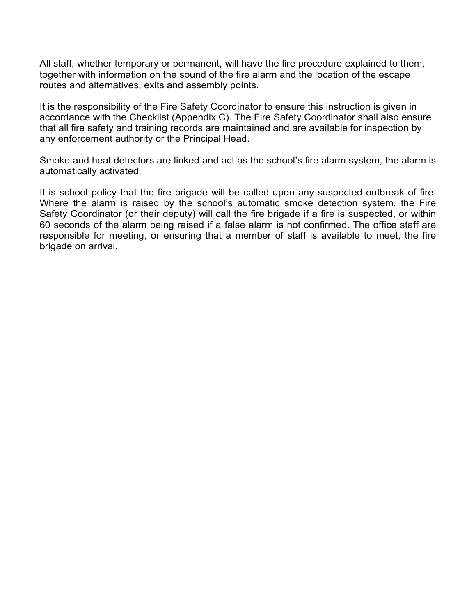All staff, whether temporary or permanent, will have the fire procedure explained to them, together with information on the sound of the fire alarm and the location of the escape routes and alternatives, exits and assembly points.

It is the responsibility of the Fire Safety Coordinator to ensure this instruction is given in accordance with the Checklist (Appendix C). The Fire Safety Coordinator shall also ensure that all fire safety and training records are maintained and are available for inspection by any enforcement authority or the Principal Head.

Smoke and heat detectors are linked and act as the school's fire alarm system, the alarm is automatically activated.

It is school policy that the fire brigade will be called upon any suspected outbreak of fire. Where the alarm is raised by the school's automatic smoke detection system, the Fire Safety Coordinator (or their deputy) will call the fire brigade if a fire is suspected, or within 60 seconds of the alarm being raised if a false alarm is not confirmed. The office staff are responsible for meeting, or ensuring that a member of staff is available to meet, the fire brigade on arrival.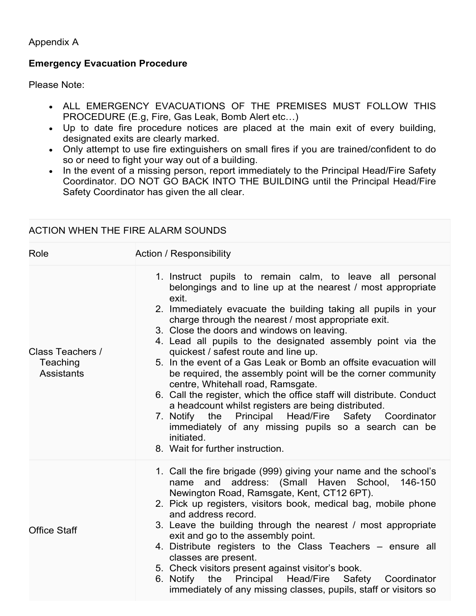Appendix A

### **Emergency Evacuation Procedure**

Please Note:

- ALL EMERGENCY EVACUATIONS OF THE PREMISES MUST FOLLOW THIS PROCEDURE (E.g, Fire, Gas Leak, Bomb Alert etc…)
- Up to date fire procedure notices are placed at the main exit of every building, designated exits are clearly marked.
- Only attempt to use fire extinguishers on small fires if you are trained/confident to do so or need to fight your way out of a building.
- In the event of a missing person, report immediately to the Principal Head/Fire Safety Coordinator. DO NOT GO BACK INTO THE BUILDING until the Principal Head/Fire Safety Coordinator has given the all clear.

### ACTION WHEN THE FIRE ALARM SOUNDS

| Role                                              | <b>Action / Responsibility</b>                                                                                                                                                                                                                                                                                                                                                                                                                                                                                                                                                                                                                                                                                                                                                                                                                                                            |
|---------------------------------------------------|-------------------------------------------------------------------------------------------------------------------------------------------------------------------------------------------------------------------------------------------------------------------------------------------------------------------------------------------------------------------------------------------------------------------------------------------------------------------------------------------------------------------------------------------------------------------------------------------------------------------------------------------------------------------------------------------------------------------------------------------------------------------------------------------------------------------------------------------------------------------------------------------|
| Class Teachers /<br>Teaching<br><b>Assistants</b> | 1. Instruct pupils to remain calm, to leave all personal<br>belongings and to line up at the nearest / most appropriate<br>exit.<br>2. Immediately evacuate the building taking all pupils in your<br>charge through the nearest / most appropriate exit.<br>3. Close the doors and windows on leaving.<br>4. Lead all pupils to the designated assembly point via the<br>quickest / safest route and line up.<br>5. In the event of a Gas Leak or Bomb an offsite evacuation will<br>be required, the assembly point will be the corner community<br>centre, Whitehall road, Ramsgate.<br>6. Call the register, which the office staff will distribute. Conduct<br>a headcount whilst registers are being distributed.<br>7. Notify the Principal Head/Fire Safety Coordinator<br>immediately of any missing pupils so a search can be<br>initiated.<br>8. Wait for further instruction. |
| <b>Office Staff</b>                               | 1. Call the fire brigade (999) giving your name and the school's<br>and address: (Small Haven School, 146-150<br>name<br>Newington Road, Ramsgate, Kent, CT12 6PT).<br>2. Pick up registers, visitors book, medical bag, mobile phone<br>and address record.<br>3. Leave the building through the nearest / most appropriate<br>exit and go to the assembly point.<br>4. Distribute registers to the Class Teachers - ensure all<br>classes are present.<br>5. Check visitors present against visitor's book.<br>6. Notify the Principal Head/Fire Safety Coordinator<br>immediately of any missing classes, pupils, staff or visitors so                                                                                                                                                                                                                                                 |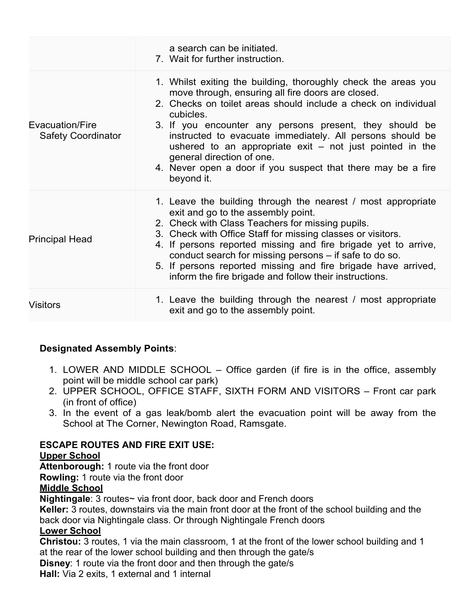|                                              | a search can be initiated.<br>7. Wait for further instruction.                                                                                                                                                                                                                                                                                                                                                                                                                                      |
|----------------------------------------------|-----------------------------------------------------------------------------------------------------------------------------------------------------------------------------------------------------------------------------------------------------------------------------------------------------------------------------------------------------------------------------------------------------------------------------------------------------------------------------------------------------|
| Evacuation/Fire<br><b>Safety Coordinator</b> | 1. Whilst exiting the building, thoroughly check the areas you<br>move through, ensuring all fire doors are closed.<br>2. Checks on toilet areas should include a check on individual<br>cubicles.<br>3. If you encounter any persons present, they should be<br>instructed to evacuate immediately. All persons should be<br>ushered to an appropriate $exit - not$ just pointed in the<br>general direction of one.<br>4. Never open a door if you suspect that there may be a fire<br>beyond it. |
| <b>Principal Head</b>                        | 1. Leave the building through the nearest / most appropriate<br>exit and go to the assembly point.<br>2. Check with Class Teachers for missing pupils.<br>3. Check with Office Staff for missing classes or visitors.<br>4. If persons reported missing and fire brigade yet to arrive,<br>conduct search for missing persons – if safe to do so.<br>5. If persons reported missing and fire brigade have arrived,<br>inform the fire brigade and follow their instructions.                        |
| <b>Visitors</b>                              | 1. Leave the building through the nearest / most appropriate<br>exit and go to the assembly point.                                                                                                                                                                                                                                                                                                                                                                                                  |

## **Designated Assembly Points**:

- 1. LOWER AND MIDDLE SCHOOL Office garden (if fire is in the office, assembly point will be middle school car park)
- 2. UPPER SCHOOL, OFFICE STAFF, SIXTH FORM AND VISITORS Front car park (in front of office)
- 3. In the event of a gas leak/bomb alert the evacuation point will be away from the School at The Corner, Newington Road, Ramsgate.

### **ESCAPE ROUTES AND FIRE EXIT USE:**

#### **Upper School**

**Attenborough:** 1 route via the front door

**Rowling:** 1 route via the front door

### **Middle School**

**Nightingale**: 3 routes~ via front door, back door and French doors

**Keller:** 3 routes, downstairs via the main front door at the front of the school building and the back door via Nightingale class. Or through Nightingale French doors

### **Lower School**

**Christou:** 3 routes, 1 via the main classroom, 1 at the front of the lower school building and 1 at the rear of the lower school building and then through the gate/s

**Disney**: 1 route via the front door and then through the gate/s

**Hall:** Via 2 exits, 1 external and 1 internal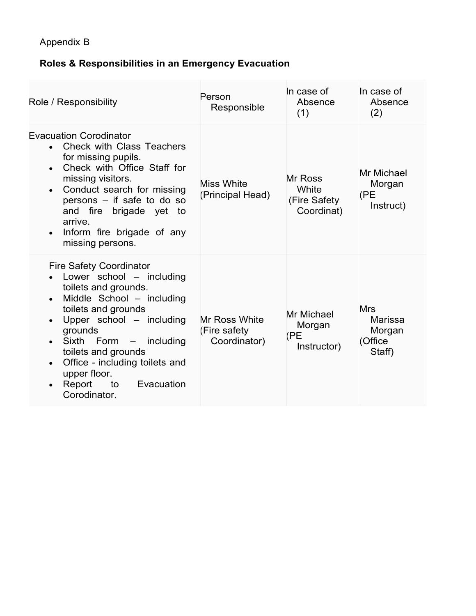## **Roles & Responsibilities in an Emergency Evacuation**

| Role / Responsibility                                                                                                                                                                                                                                                                                                                                                                              | Person<br>Responsible                         | In case of<br>Absence<br>(1)                   | In case of<br>Absence<br>(2)                         |
|----------------------------------------------------------------------------------------------------------------------------------------------------------------------------------------------------------------------------------------------------------------------------------------------------------------------------------------------------------------------------------------------------|-----------------------------------------------|------------------------------------------------|------------------------------------------------------|
| <b>Evacuation Corodinator</b><br><b>Check with Class Teachers</b><br>for missing pupils.<br>Check with Office Staff for<br>$\bullet$<br>missing visitors.<br>Conduct search for missing<br>$\bullet$<br>persons - if safe to do so<br>and fire brigade yet to<br>arrive.<br>Inform fire brigade of any<br>$\bullet$<br>missing persons.                                                            | <b>Miss White</b><br>(Principal Head)         | Mr Ross<br>White<br>(Fire Safety<br>Coordinat) | Mr Michael<br>Morgan<br>(PE<br>Instruct)             |
| <b>Fire Safety Coordinator</b><br>Lower school - including<br>toilets and grounds.<br>Middle School - including<br>$\bullet$<br>toilets and grounds<br>Upper school - including<br>$\bullet$<br>grounds<br>Sixth Form -<br>including<br>$\bullet$<br>toilets and grounds<br>Office - including toilets and<br>$\bullet$<br>upper floor.<br>Report<br>to<br>Evacuation<br>$\bullet$<br>Corodinator. | Mr Ross White<br>(Fire safety<br>Coordinator) | Mr Michael<br>Morgan<br>(PE<br>Instructor)     | <b>Mrs</b><br>Marissa<br>Morgan<br>(Office<br>Staff) |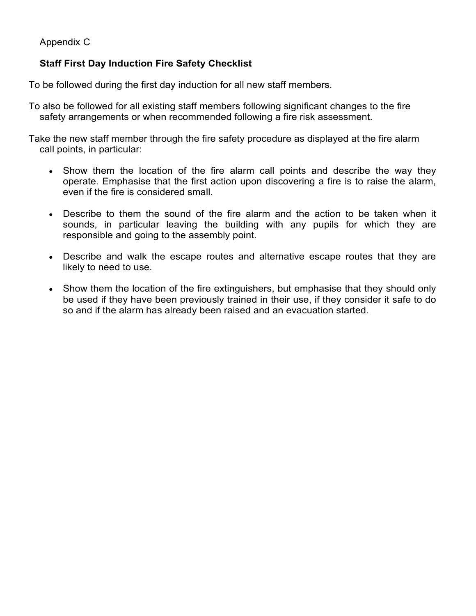Appendix C

## **Staff First Day Induction Fire Safety Checklist**

To be followed during the first day induction for all new staff members.

To also be followed for all existing staff members following significant changes to the fire safety arrangements or when recommended following a fire risk assessment.

Take the new staff member through the fire safety procedure as displayed at the fire alarm call points, in particular:

- Show them the location of the fire alarm call points and describe the way they operate. Emphasise that the first action upon discovering a fire is to raise the alarm, even if the fire is considered small.
- Describe to them the sound of the fire alarm and the action to be taken when it sounds, in particular leaving the building with any pupils for which they are responsible and going to the assembly point.
- Describe and walk the escape routes and alternative escape routes that they are likely to need to use.
- Show them the location of the fire extinguishers, but emphasise that they should only be used if they have been previously trained in their use, if they consider it safe to do so and if the alarm has already been raised and an evacuation started.